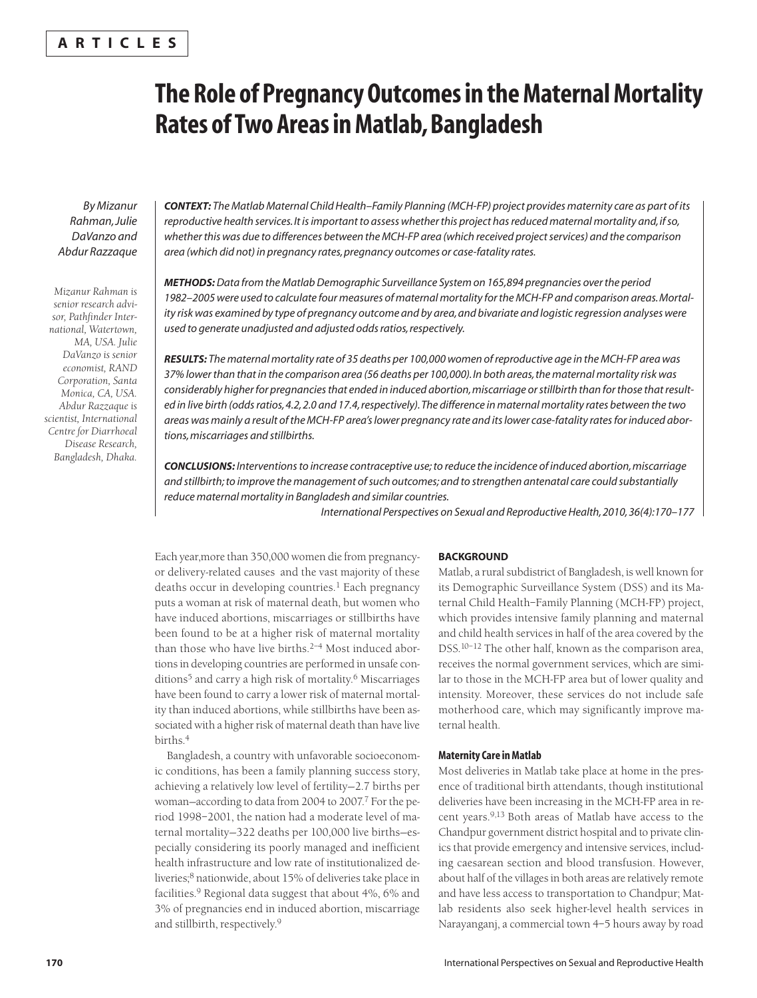# **The Role of Pregnancy Outcomes in the Maternal Mortality Rates of Two Areas in Matlab, Bangladesh**

*By Mizanur Rahman, Julie DaVanzo and Abdur Razzaque*

*Mizanur Rahman is senior research advisor, Pathfinder International, Watertown, MA, USA. Julie DaVanzo is senior economist, RAND Corporation, Santa Monica, CA, USA. Abdur Razzaque is scientist, International Centre for Diarrhoeal Disease Research, Bangladesh, Dhaka.* *CONTEXT: The Matlab Maternal Child Health–Family Planning (MCH-FP) project provides maternity care as part of its reproductive health services. It is important to assess whether this project has reduced maternal mortality and, if so, whether this was due to differences between the MCH-FP area (which received project services) and the comparison area (which did not) in pregnancy rates, pregnancy outcomes or case-fatality rates.*

*METHODS:Data from the Matlab Demographic Surveillance System on 165,894 pregnancies over the period 1982–2005 were used to calculate four measures of maternal mortality for the MCH-FP and comparison areas. Mortality risk was examined by type of pregnancy outcome and by area, and bivariate and logistic regression analyses were used to generate unadjusted and adjusted odds ratios, respectively.*

*RESULTS: The maternal mortality rate of 35 deaths per 100,000 women of reproductive age in the MCH-FP area was 37% lower than that in the comparison area (56 deaths per 100,000). In both areas, the maternal mortality risk was considerably higher for pregnancies that ended in induced abortion, miscarriage or stillbirth than for those that resulted in live birth (odds ratios, 4.2, 2.0 and 17.4, respectively). The difference in maternal mortality rates between the two areas was mainly a result of the MCH-FP area's lower pregnancy rate and its lower case-fatality rates for induced abortions, miscarriages and stillbirths.*

*CONCLUSIONS: Interventions to increase contraceptive use; to reduce the incidence of induced abortion, miscarriage and stillbirth; to improve the management of such outcomes; and to strengthen antenatal care could substantially reduce maternal mortality in Bangladesh and similar countries.*

*International Perspectives on Sexual and Reproductive Health, 2010, 36(4):170–177*

Each year,more than 350,000 women die from pregnancyor delivery-related causes and the vast majority of these deaths occur in developing countries.<sup>1</sup> Each pregnancy puts a woman at risk of maternal death, but women who have induced abortions, miscarriages or stillbirths have been found to be at a higher risk of maternal mortality than those who have live births.<sup>2-4</sup> Most induced abortions in developing countries are performed in unsafe conditions<sup>5</sup> and carry a high risk of mortality.<sup>6</sup> Miscarriages have been found to carry a lower risk of maternal mortality than induced abortions, while stillbirths have been associated with a higher risk of maternal death than have live births.4

Bangladesh, a country with unfavorable socioeconomic conditions, has been a family planning success story, achieving a relatively low level of fertility—2.7 births per woman-according to data from 2004 to 2007.<sup>7</sup> For the period 1998–2001, the nation had a moderate level of maternal mortality—322 deaths per 100,000 live births—especially considering its poorly managed and inefficient health infrastructure and low rate of institutionalized deliveries;8 nationwide, about 15% of deliveries take place in facilities.<sup>9</sup> Regional data suggest that about 4%, 6% and 3% of pregnancies end in induced abortion, miscarriage and stillbirth, respectively.<sup>9</sup>

## **BACKGROUND**

Matlab, a rural subdistrict of Bangladesh, is well known for its Demographic Surveillance System (DSS) and its Maternal Child Health–Family Planning (MCH-FP) project, which provides intensive family planning and maternal and child health services in half of the area covered by the DSS.<sup>10-12</sup> The other half, known as the comparison area, receives the normal government services, which are similar to those in the MCH-FP area but of lower quality and intensity. Moreover, these services do not include safe motherhood care, which may significantly improve maternal health.

# **Maternity Care in Matlab**

Most deliveries in Matlab take place at home in the presence of traditional birth attendants, though institutional deliveries have been increasing in the MCH-FP area in recent years.9,13 Both areas of Matlab have access to the Chandpur government district hospital and to private clinics that provide emergency and intensive services, including caesarean section and blood transfusion. However, about half of the villages in both areas are relatively remote and have less access to transportation to Chandpur; Matlab residents also seek higher-level health services in Narayanganj, a commercial town 4–5 hours away by road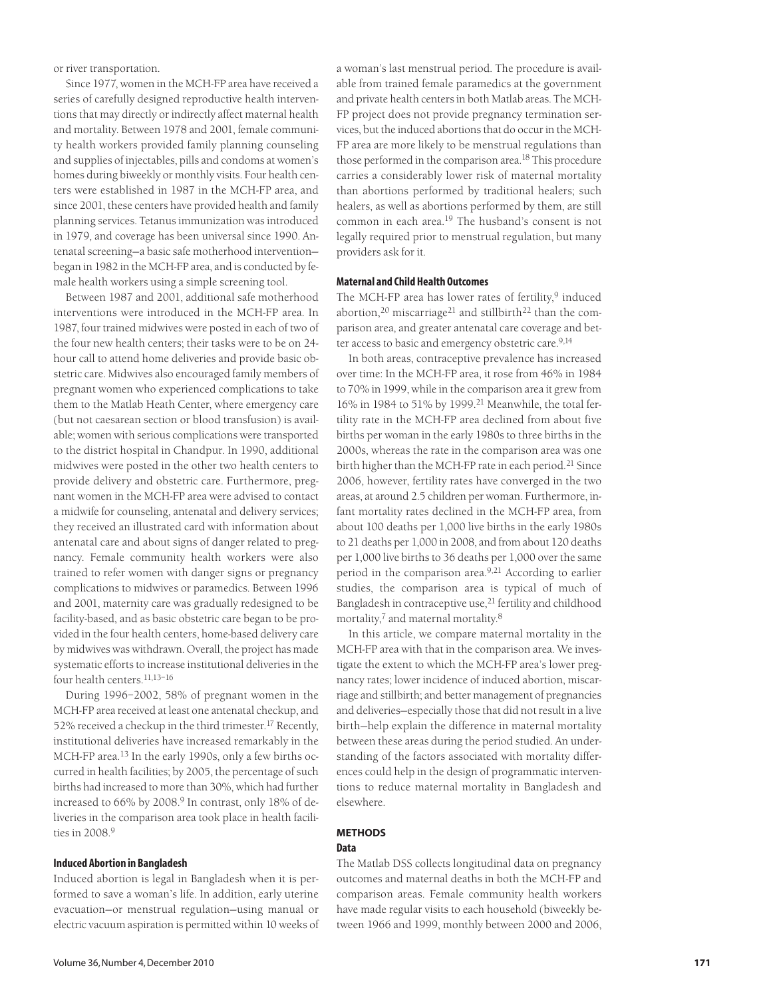or river transportation.

Since 1977, women in the MCH-FP area have received a series of carefully designed reproductive health interventions that may directly or indirectly affect maternal health and mortality. Between 1978 and 2001, female community health workers provided family planning counseling and supplies of injectables, pills and condoms at women's homes during biweekly or monthly visits. Four health centers were established in 1987 in the MCH-FP area, and since 2001, these centers have provided health and family planning services. Tetanus immunization was introduced in 1979, and coverage has been universal since 1990. Antenatal screening—a basic safe motherhood intervention began in 1982 in the MCH-FP area, and is conducted by female health workers using a simple screening tool.

Between 1987 and 2001, additional safe motherhood interventions were introduced in the MCH-FP area. In 1987, four trained midwives were posted in each of two of the four new health centers; their tasks were to be on 24 hour call to attend home deliveries and provide basic obstetric care. Midwives also encouraged family members of pregnant women who experienced complications to take them to the Matlab Heath Center, where emergency care (but not caesarean section or blood transfusion) is available; women with serious complications were transported to the district hospital in Chandpur. In 1990, additional midwives were posted in the other two health centers to provide delivery and obstetric care. Furthermore, pregnant women in the MCH-FP area were advised to contact a midwife for counseling, antenatal and delivery services; they received an illustrated card with information about antenatal care and about signs of danger related to pregnancy. Female community health workers were also trained to refer women with danger signs or pregnancy complications to midwives or paramedics. Between 1996 and 2001, maternity care was gradually redesigned to be facility-based, and as basic obstetric care began to be provided in the four health centers, home-based delivery care by midwives was withdrawn. Overall, the project has made systematic efforts to increase institutional deliveries in the four health centers.11,13–16

During 1996–2002, 58% of pregnant women in the MCH-FP area received at least one antenatal checkup, and 52% received a checkup in the third trimester.<sup>17</sup> Recently, institutional deliveries have increased remarkably in the MCH-FP area.<sup>13</sup> In the early 1990s, only a few births occurred in health facilities; by 2005, the percentage of such births had increased to more than 30%, which had further increased to 66% by 2008.<sup>9</sup> In contrast, only 18% of deliveries in the comparison area took place in health facilities in 2008.9

# **Induced Abortion in Bangladesh**

Induced abortion is legal in Bangladesh when it is performed to save a woman's life. In addition, early uterine evacuation—or menstrual regulation—using manual or electric vacuum aspiration is permitted within 10 weeks of

a woman's last menstrual period. The procedure is available from trained female paramedics at the government and private health centers in both Matlab areas. The MCH-FP project does not provide pregnancy termination services, but the induced abortions that do occur in the MCH-FP area are more likely to be menstrual regulations than those performed in the comparison area.<sup>18</sup> This procedure carries a considerably lower risk of maternal mortality than abortions performed by traditional healers; such healers, as well as abortions performed by them, are still common in each area.<sup>19</sup> The husband's consent is not legally required prior to menstrual regulation, but many providers ask for it.

# **Maternal and Child Health Outcomes**

The MCH-FP area has lower rates of fertility, $9$  induced abortion,<sup>20</sup> miscarriage<sup>21</sup> and stillbirth<sup>22</sup> than the comparison area, and greater antenatal care coverage and better access to basic and emergency obstetric care.<sup>9,14</sup>

In both areas, contraceptive prevalence has increased over time: In the MCH-FP area, it rose from 46% in 1984 to 70% in 1999, while in the comparison area it grew from 16% in 1984 to 51% by 1999.<sup>21</sup> Meanwhile, the total fertility rate in the MCH-FP area declined from about five births per woman in the early 1980s to three births in the 2000s, whereas the rate in the comparison area was one birth higher than the MCH-FP rate in each period.<sup>21</sup> Since 2006, however, fertility rates have converged in the two areas, at around 2.5 children per woman. Furthermore, infant mortality rates declined in the MCH-FP area, from about 100 deaths per 1,000 live births in the early 1980s to 21 deaths per 1,000 in 2008, and from about 120 deaths per 1,000 live births to 36 deaths per 1,000 over the same period in the comparison area.9,21 According to earlier studies, the comparison area is typical of much of Bangladesh in contraceptive use,<sup>21</sup> fertility and childhood mortality,<sup>7</sup> and maternal mortality.<sup>8</sup>

In this article, we compare maternal mortality in the MCH-FP area with that in the comparison area. We investigate the extent to which the MCH-FP area's lower pregnancy rates; lower incidence of induced abortion, miscarriage and stillbirth; and better management of pregnancies and deliveries—especially those that did not result in a live birth—help explain the difference in maternal mortality between these areas during the period studied. An understanding of the factors associated with mortality differences could help in the design of programmatic interventions to reduce maternal mortality in Bangladesh and elsewhere.

## **METHODS Data**

The Matlab DSS collects longitudinal data on pregnancy outcomes and maternal deaths in both the MCH-FP and comparison areas. Female community health workers have made regular visits to each household (biweekly between 1966 and 1999, monthly between 2000 and 2006,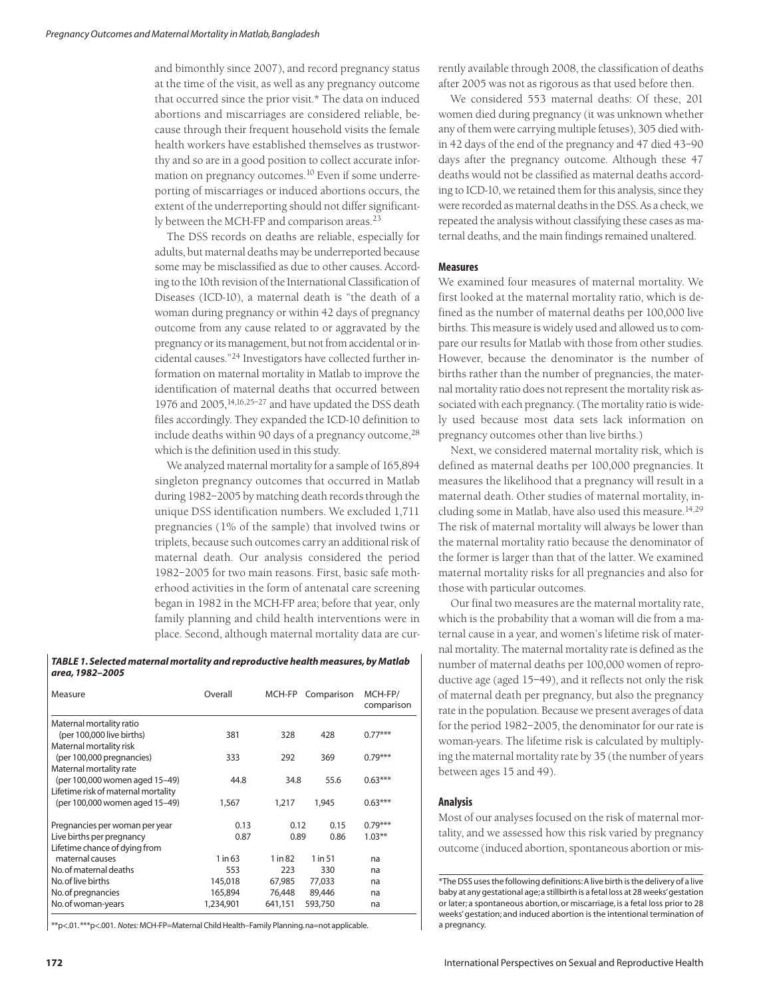and bimonthly since 2007), and record pregnancy status at the time of the visit, as well as any pregnancy outcome that occurred since the prior visit.\* The data on induced abortions and miscarriages are considered reliable, because through their frequent household visits the female health workers have established themselves as trustworthy and so are in a good position to collect accurate information on pregnancy outcomes.<sup>10</sup> Even if some underreporting of miscarriages or induced abortions occurs, the extent of the underreporting should not differ significantly between the MCH-FP and comparison areas.<sup>23</sup>

The DSS records on deaths are reliable, especially for adults, but maternal deaths may be underreported because some may be misclassified as due to other causes. According to the 10th revision of the International Classification of Diseases (ICD-10), a maternal death is "the death of a woman during pregnancy or within 42 days of pregnancy outcome from any cause related to or aggravated by the pregnancy or its management, but not from accidental or incidental causes."24 Investigators have collected further information on maternal mortality in Matlab to improve the identification of maternal deaths that occurred between 1976 and 2005, <sup>14,16,25-27</sup> and have updated the DSS death files accordingly. They expanded the ICD-10 definition to include deaths within 90 days of a pregnancy outcome, $^{28}$ which is the definition used in this study.

We analyzed maternal mortality for a sample of 165,894 singleton pregnancy outcomes that occurred in Matlab during 1982–2005 by matching death records through the unique DSS identification numbers. We excluded 1,711 pregnancies (1% of the sample) that involved twins or triplets, because such outcomes carry an additional risk of maternal death. Our analysis considered the period 1982–2005 for two main reasons. First, basic safe motherhood activities in the form of antenatal care screening began in 1982 in the MCH-FP area; before that year, only family planning and child health interventions were in place. Second, although maternal mortality data are cur-

*TABLE 1. Selected maternal mortality and reproductive health measures, by Matlab area, 1982–2005*

| Measure                             | Overall   | MCH-FP     | Comparison | MCH-FP/<br>comparison |
|-------------------------------------|-----------|------------|------------|-----------------------|
| Maternal mortality ratio            |           |            |            |                       |
| (per 100,000 live births)           | 381       | 328        | 428        | $0.77***$             |
| Maternal mortality risk             |           |            |            |                       |
| (per 100,000 pregnancies)           | 333       | 292<br>369 |            | $0.79***$             |
| Maternal mortality rate             |           |            |            |                       |
| (per 100,000 women aged 15-49)      | 44.8      | 34.8       | 55.6       | $0.63***$             |
| Lifetime risk of maternal mortality |           |            |            |                       |
| (per 100,000 women aged 15-49)      | 1,567     | 1,217      | 1,945      | $0.63***$             |
| Pregnancies per woman per year      | 0.13      | 0.12       | 0.15       | $0.79***$             |
| Live births per pregnancy           | 0.87      | 0.89       | 0.86       | $1.03***$             |
| Lifetime chance of dying from       |           |            |            |                       |
| maternal causes                     | $1$ in 63 | 1 in 82    | 1 in 51    | na                    |
| No. of maternal deaths              | 553       | 223        | 330        | na                    |
| No. of live births                  | 145,018   | 67,985     | 77,033     | na                    |
| No. of pregnancies                  | 165,894   | 76,448     | 89,446     | na                    |
| No. of woman-years                  | 1,234,901 | 641,151    | 593,750    | na                    |

\*\*p<.01.\*\*\*p<.001. *Notes:* MCH-FP=Maternal Child Health–Family Planning.na=not applicable.

rently available through 2008, the classification of deaths after 2005 was not as rigorous as that used before then.

We considered 553 maternal deaths: Of these, 201 women died during pregnancy (it was unknown whether any of them were carrying multiple fetuses), 305 died within 42 days of the end of the pregnancy and 47 died 43–90 days after the pregnancy outcome. Although these 47 deaths would not be classified as maternal deaths according to ICD-10, we retained them for this analysis, since they were recorded as maternal deaths in the DSS. As a check, we repeated the analysis without classifying these cases as maternal deaths, and the main findings remained unaltered.

## **Measures**

We examined four measures of maternal mortality. We first looked at the maternal mortality ratio, which is defined as the number of maternal deaths per 100,000 live births. This measure is widely used and allowed us to compare our results for Matlab with those from other studies. However, because the denominator is the number of births rather than the number of pregnancies, the maternal mortality ratio does not represent the mortality risk associated with each pregnancy. (The mortality ratio is widely used because most data sets lack information on pregnancy outcomes other than live births.)

Next, we considered maternal mortality risk, which is defined as maternal deaths per 100,000 pregnancies. It measures the likelihood that a pregnancy will result in a maternal death. Other studies of maternal mortality, including some in Matlab, have also used this measure.<sup>14,29</sup> The risk of maternal mortality will always be lower than the maternal mortality ratio because the denominator of the former is larger than that of the latter. We examined maternal mortality risks for all pregnancies and also for those with particular outcomes.

Our final two measures are the maternal mortality rate, which is the probability that a woman will die from a maternal cause in a year, and women's lifetime risk of maternal mortality. The maternal mortality rate is defined as the number of maternal deaths per 100,000 women of reproductive age (aged 15–49), and it reflects not only the risk of maternal death per pregnancy, but also the pregnancy rate in the population. Because we present averages of data for the period 1982–2005, the denominator for our rate is woman-years. The lifetime risk is calculated by multiplying the maternal mortality rate by 35 (the number of years between ages 15 and 49).

### **Analysis**

Most of our analyses focused on the risk of maternal mortality, and we assessed how this risk varied by pregnancy outcome (induced abortion, spontaneous abortion or mis-

<sup>\*</sup>The DSS uses the following definitions:A live birth is the delivery of a live baby at any gestational age;a stillbirth is a fetal loss at 28 weeks'gestation or later; a spontaneous abortion, or miscarriage, is a fetal loss prior to 28 weeks' gestation; and induced abortion is the intentional termination of a pregnancy.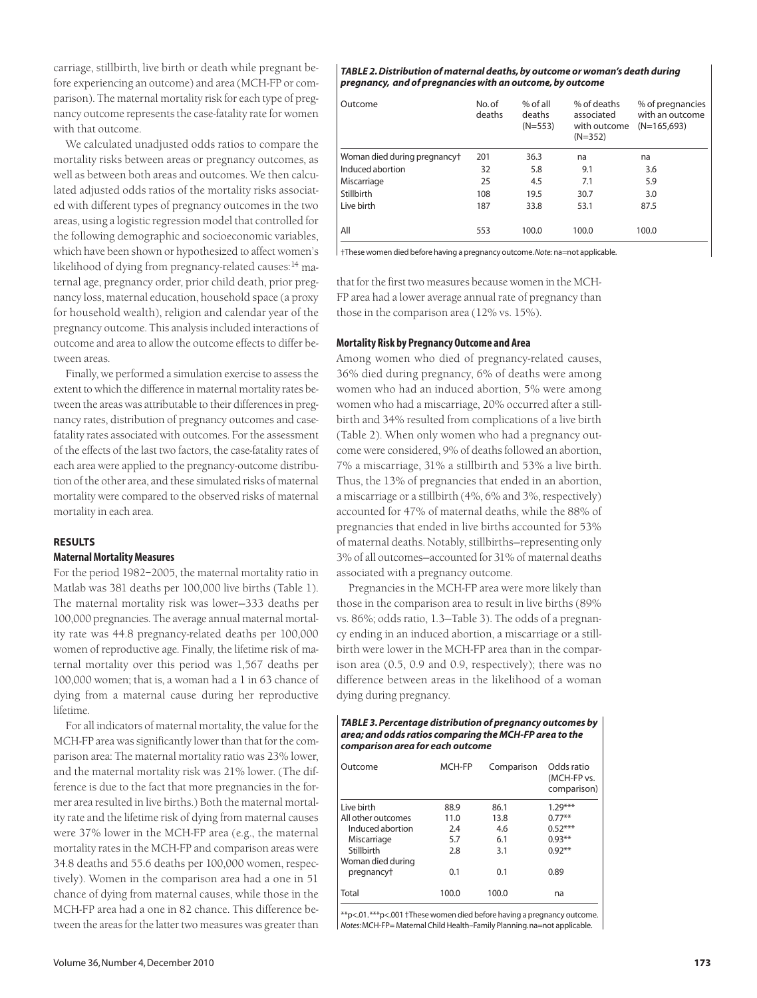carriage, stillbirth, live birth or death while pregnant before experiencing an outcome) and area (MCH-FP or comparison). The maternal mortality risk for each type of pregnancy outcome represents the case-fatality rate for women with that outcome.

We calculated unadjusted odds ratios to compare the mortality risks between areas or pregnancy outcomes, as well as between both areas and outcomes. We then calculated adjusted odds ratios of the mortality risks associated with different types of pregnancy outcomes in the two areas, using a logistic regression model that controlled for the following demographic and socioeconomic variables, which have been shown or hypothesized to affect women's likelihood of dying from pregnancy-related causes:<sup>14</sup> maternal age, pregnancy order, prior child death, prior pregnancy loss, maternal education, household space (a proxy for household wealth), religion and calendar year of the pregnancy outcome. This analysis included interactions of outcome and area to allow the outcome effects to differ between areas.

Finally, we performed a simulation exercise to assess the extent to which the difference in maternal mortality rates between the areas was attributable to their differences in pregnancy rates, distribution of pregnancy outcomes and casefatality rates associated with outcomes. For the assessment of the effects of the last two factors, the case-fatality rates of each area were applied to the pregnancy-outcome distribution of the other area, and these simulated risks of maternal mortality were compared to the observed risks of maternal mortality in each area.

## **RESULTS**

# **Maternal Mortality Measures**

For the period 1982–2005, the maternal mortality ratio in Matlab was 381 deaths per 100,000 live births (Table 1). The maternal mortality risk was lower—333 deaths per 100,000 pregnancies. The average annual maternal mortality rate was 44.8 pregnancy-related deaths per 100,000 women of reproductive age. Finally, the lifetime risk of maternal mortality over this period was 1,567 deaths per 100,000 women; that is, a woman had a 1 in 63 chance of dying from a maternal cause during her reproductive lifetime.

For all indicators of maternal mortality, the value for the MCH-FP area was significantly lower than that for the comparison area: The maternal mortality ratio was 23% lower, and the maternal mortality risk was 21% lower. (The difference is due to the fact that more pregnancies in the former area resulted in live births.) Both the maternal mortality rate and the lifetime risk of dying from maternal causes were 37% lower in the MCH-FP area (e.g., the maternal mortality rates in the MCH-FP and comparison areas were 34.8 deaths and 55.6 deaths per 100,000 women, respectively). Women in the comparison area had a one in 51 chance of dying from maternal causes, while those in the MCH-FP area had a one in 82 chance. This difference between the areas for the latter two measures was greater than

#### *TABLE 2. Distribution of maternal deaths, by outcome or woman's death during pregnancy, and of pregnancies with an outcome, by outcome*

| Outcome                      | No.of<br>deaths | $%$ of all<br>deaths<br>$(N=553)$ | % of deaths<br>associated<br>with outcome<br>$(N=352)$ | % of pregnancies<br>with an outcome<br>$(N=165.693)$ |
|------------------------------|-----------------|-----------------------------------|--------------------------------------------------------|------------------------------------------------------|
| Woman died during pregnancyt | 201             | 36.3                              | na                                                     | na                                                   |
| Induced abortion             | 32              | 5.8                               | 9.1                                                    | 3.6                                                  |
| Miscarriage                  | 25              | 4.5                               | 7.1                                                    | 5.9                                                  |
| Stillbirth                   | 108             | 19.5                              | 30.7                                                   | 3.0                                                  |
| Live birth                   | 187             | 33.8                              | 53.1                                                   | 87.5                                                 |
| All                          | 553             | 100.0                             | 100.0                                                  | 100.0                                                |

†These women died before having a pregnancy outcome.*Note:* na=not applicable.

that for the first two measures because women in the MCH-FP area had a lower average annual rate of pregnancy than those in the comparison area (12% vs. 15%).

# **Mortality Risk by Pregnancy Outcome and Area**

Among women who died of pregnancy-related causes, 36% died during pregnancy, 6% of deaths were among women who had an induced abortion, 5% were among women who had a miscarriage, 20% occurred after a stillbirth and 34% resulted from complications of a live birth (Table 2). When only women who had a pregnancy outcome were considered, 9% of deaths followed an abortion, 7% a miscarriage, 31% a stillbirth and 53% a live birth. Thus, the 13% of pregnancies that ended in an abortion, a miscarriage or a stillbirth (4%, 6% and 3%, respectively) accounted for 47% of maternal deaths, while the 88% of pregnancies that ended in live births accounted for 53% of maternal deaths. Notably, stillbirths—representing only 3% of all outcomes—accounted for 31% of maternal deaths associated with a pregnancy outcome.

Pregnancies in the MCH-FP area were more likely than those in the comparison area to result in live births (89% vs. 86%; odds ratio, 1.3—Table 3). The odds of a pregnancy ending in an induced abortion, a miscarriage or a stillbirth were lower in the MCH-FP area than in the comparison area (0.5, 0.9 and 0.9, respectively); there was no difference between areas in the likelihood of a woman dying during pregnancy.

#### *TABLE 3. Percentage distribution of pregnancy outcomes by area; and odds ratios comparing the MCH-FP area to the comparison area for each outcome*

| Outcome            | MCH-FP | Comparison | Odds ratio<br>(MCH-FP vs.<br>comparison) |
|--------------------|--------|------------|------------------------------------------|
| Live birth         | 88.9   | 86.1       | $1.29***$                                |
| All other outcomes | 11.0   | 13.8       | $0.77***$                                |
| Induced abortion   | 2.4    | 4.6        | $0.52***$                                |
| Miscarriage        | 5.7    | 6.1        | $0.93***$                                |
| Stillbirth         | 2.8    | 3.1        | $0.92***$                                |
| Woman died during  |        |            |                                          |
| pregnancyt         | 0.1    | 0.1        | 0.89                                     |
| Total              | 100.0  | 100.0      | na                                       |

\*\*p<.01.\*\*\*p<.001 †These women died before having a pregnancy outcome. *Notes:*MCH-FP= Maternal Child Health–Family Planning.na=not applicable.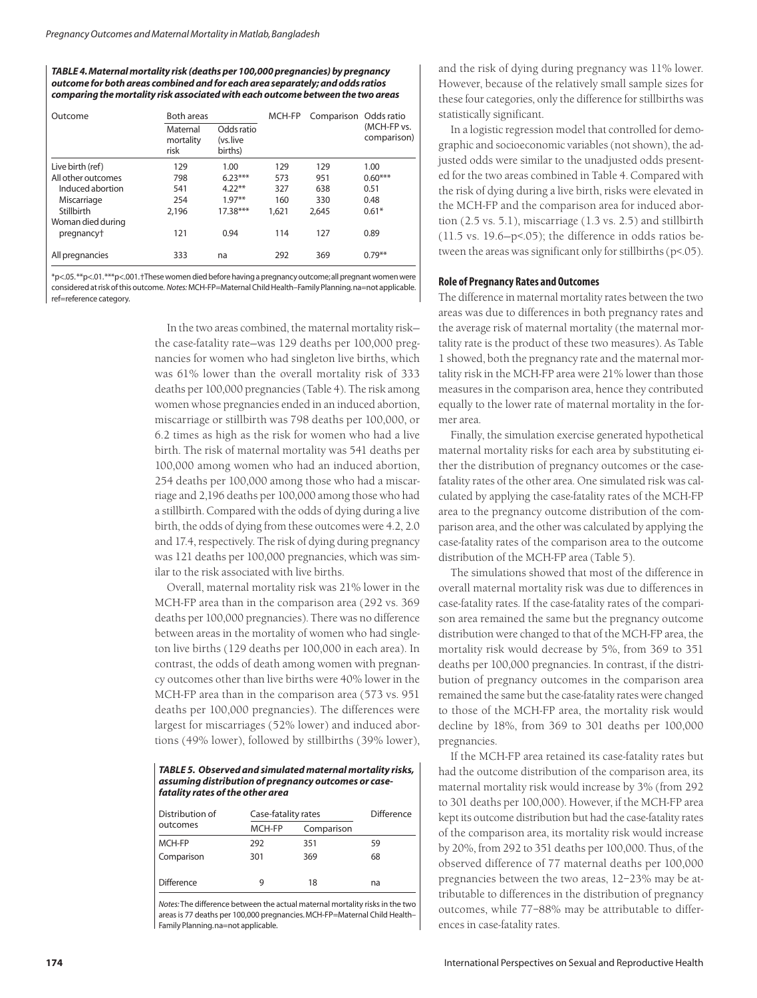#### *TABLE 4.Maternal mortality risk (deaths per 100,000 pregnancies) by pregnancy outcome for both areas combined and for each area separately; and odds ratios comparing the mortality risk associated with each outcome between the two areas*

| <b>Both areas</b><br>Outcome |                               | MCH-FP                            | Comparison Odds ratio |       |                            |
|------------------------------|-------------------------------|-----------------------------------|-----------------------|-------|----------------------------|
|                              | Maternal<br>mortality<br>risk | Odds ratio<br>(vs.live<br>births) |                       |       | (MCH-FP vs.<br>comparison) |
| Live birth (ref)             | 129                           | 1.00                              | 129                   | 129   | 1.00                       |
| All other outcomes           | 798                           | $6.23***$                         | 573                   | 951   | $0.60***$                  |
| Induced abortion             | 541                           | $4.22**$                          | 327                   | 638   | 0.51                       |
| Miscarriage                  | 254                           | $1.97**$                          | 160                   | 330   | 0.48                       |
| Stillbirth                   | 2.196                         | $17.38***$                        | 1.621                 | 2.645 | $0.61*$                    |
| Woman died during            |                               |                                   |                       |       |                            |
| pregnancyt                   | 121                           | 0.94                              | 114                   | 127   | 0.89                       |
| All pregnancies              | 333                           | na                                | 292                   | 369   | $0.79***$                  |

\*p<.05.\*\*p<.01.\*\*\*p<.001.†These women died before having a pregnancy outcome;all pregnant women were considered at risk of this outcome. *Notes:* MCH-FP=Maternal Child Health–Family Planning.na=not applicable. ref=reference category.

> In the two areas combined, the maternal mortality risk the case-fatality rate—was 129 deaths per 100,000 pregnancies for women who had singleton live births, which was 61% lower than the overall mortality risk of 333 deaths per 100,000 pregnancies (Table 4). The risk among women whose pregnancies ended in an induced abortion, miscarriage or stillbirth was 798 deaths per 100,000, or 6.2 times as high as the risk for women who had a live birth. The risk of maternal mortality was 541 deaths per 100,000 among women who had an induced abortion, 254 deaths per 100,000 among those who had a miscarriage and 2,196 deaths per 100,000 among those who had a stillbirth. Compared with the odds of dying during a live birth, the odds of dying from these outcomes were 4.2, 2.0 and 17.4, respectively. The risk of dying during pregnancy was 121 deaths per 100,000 pregnancies, which was similar to the risk associated with live births.

> Overall, maternal mortality risk was 21% lower in the MCH-FP area than in the comparison area (292 vs. 369 deaths per 100,000 pregnancies). There was no difference between areas in the mortality of women who had singleton live births (129 deaths per 100,000 in each area). In contrast, the odds of death among women with pregnancy outcomes other than live births were 40% lower in the MCH-FP area than in the comparison area (573 vs. 951 deaths per 100,000 pregnancies). The differences were largest for miscarriages (52% lower) and induced abortions (49% lower), followed by stillbirths (39% lower),

*TABLE 5. Observed and simulated maternal mortality risks, assuming distribution of pregnancy outcomes or casefatality rates of the other area*

| Distribution of   | Case-fatality rates |            | Difference |
|-------------------|---------------------|------------|------------|
| outcomes          | MCH-FP              | Comparison |            |
| MCH-FP            | 292                 | 351        | 59         |
| Comparison        | 301                 | 369        | 68         |
|                   |                     |            |            |
| <b>Difference</b> | q                   | 18         | na         |
|                   |                     |            |            |

*Notes:* The difference between the actual maternal mortality risks in the two areas is 77 deaths per 100,000 pregnancies. MCH-FP=Maternal Child Health– Family Planning.na=not applicable.

and the risk of dying during pregnancy was 11% lower. However, because of the relatively small sample sizes for these four categories, only the difference for stillbirths was statistically significant.

In a logistic regression model that controlled for demographic and socioeconomic variables (not shown), the adjusted odds were similar to the unadjusted odds presented for the two areas combined in Table 4. Compared with the risk of dying during a live birth, risks were elevated in the MCH-FP and the comparison area for induced abortion (2.5 vs. 5.1), miscarriage (1.3 vs. 2.5) and stillbirth  $(11.5 \text{ vs. } 19.6-\text{p} < 05)$ ; the difference in odds ratios between the areas was significant only for stillbirths (p<.05).

# **Role of Pregnancy Rates and Outcomes**

The difference in maternal mortality rates between the two areas was due to differences in both pregnancy rates and the average risk of maternal mortality (the maternal mortality rate is the product of these two measures). As Table 1 showed, both the pregnancy rate and the maternal mortality risk in the MCH-FP area were 21% lower than those measures in the comparison area, hence they contributed equally to the lower rate of maternal mortality in the former area.

Finally, the simulation exercise generated hypothetical maternal mortality risks for each area by substituting either the distribution of pregnancy outcomes or the casefatality rates of the other area. One simulated risk was calculated by applying the case-fatality rates of the MCH-FP area to the pregnancy outcome distribution of the comparison area, and the other was calculated by applying the case-fatality rates of the comparison area to the outcome distribution of the MCH-FP area (Table 5).

The simulations showed that most of the difference in overall maternal mortality risk was due to differences in case-fatality rates. If the case-fatality rates of the comparison area remained the same but the pregnancy outcome distribution were changed to that of the MCH-FP area, the mortality risk would decrease by 5%, from 369 to 351 deaths per 100,000 pregnancies. In contrast, if the distribution of pregnancy outcomes in the comparison area remained the same but the case-fatality rates were changed to those of the MCH-FP area, the mortality risk would decline by 18%, from 369 to 301 deaths per 100,000 pregnancies.

If the MCH-FP area retained its case-fatality rates but had the outcome distribution of the comparison area, its maternal mortality risk would increase by 3% (from 292 to 301 deaths per 100,000). However, if the MCH-FP area kept its outcome distribution but had the case-fatality rates of the comparison area, its mortality risk would increase by 20%, from 292 to 351 deaths per 100,000. Thus, of the observed difference of 77 maternal deaths per 100,000 pregnancies between the two areas, 12–23% may be attributable to differences in the distribution of pregnancy outcomes, while 77–88% may be attributable to differences in case-fatality rates.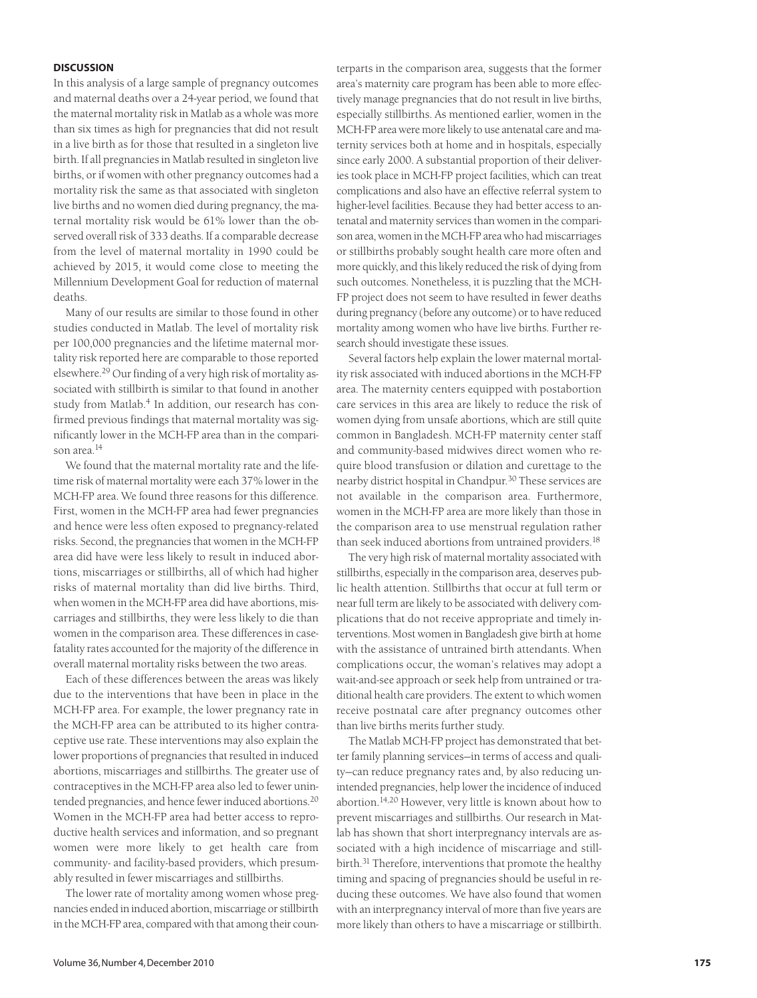## **DISCUSSION**

In this analysis of a large sample of pregnancy outcomes and maternal deaths over a 24-year period, we found that the maternal mortality risk in Matlab as a whole was more than six times as high for pregnancies that did not result in a live birth as for those that resulted in a singleton live birth. If all pregnancies in Matlab resulted in singleton live births, or if women with other pregnancy outcomes had a mortality risk the same as that associated with singleton live births and no women died during pregnancy, the maternal mortality risk would be 61% lower than the observed overall risk of 333 deaths. If a comparable decrease from the level of maternal mortality in 1990 could be achieved by 2015, it would come close to meeting the Millennium Development Goal for reduction of maternal deaths.

Many of our results are similar to those found in other studies conducted in Matlab. The level of mortality risk per 100,000 pregnancies and the lifetime maternal mortality risk reported here are comparable to those reported elsewhere.29 Our finding of a very high risk of mortality associated with stillbirth is similar to that found in another study from Matlab.<sup>4</sup> In addition, our research has confirmed previous findings that maternal mortality was significantly lower in the MCH-FP area than in the comparison area.<sup>14</sup>

We found that the maternal mortality rate and the lifetime risk of maternal mortality were each 37% lower in the MCH-FP area. We found three reasons for this difference. First, women in the MCH-FP area had fewer pregnancies and hence were less often exposed to pregnancy-related risks. Second, the pregnancies that women in the MCH-FP area did have were less likely to result in induced abortions, miscarriages or stillbirths, all of which had higher risks of maternal mortality than did live births. Third, when women in the MCH-FP area did have abortions, miscarriages and stillbirths, they were less likely to die than women in the comparison area. These differences in casefatality rates accounted for the majority of the difference in overall maternal mortality risks between the two areas.

Each of these differences between the areas was likely due to the interventions that have been in place in the MCH-FP area. For example, the lower pregnancy rate in the MCH-FP area can be attributed to its higher contraceptive use rate. These interventions may also explain the lower proportions of pregnancies that resulted in induced abortions, miscarriages and stillbirths. The greater use of contraceptives in the MCH-FP area also led to fewer unintended pregnancies, and hence fewer induced abortions.20 Women in the MCH-FP area had better access to reproductive health services and information, and so pregnant women were more likely to get health care from community- and facility-based providers, which presumably resulted in fewer miscarriages and stillbirths.

The lower rate of mortality among women whose pregnancies ended in induced abortion, miscarriage or stillbirth in the MCH-FP area, compared with that among their counterparts in the comparison area, suggests that the former area's maternity care program has been able to more effectively manage pregnancies that do not result in live births, especially stillbirths. As mentioned earlier, women in the MCH-FP area were more likely to use antenatal care and maternity services both at home and in hospitals, especially since early 2000. A substantial proportion of their deliveries took place in MCH-FP project facilities, which can treat complications and also have an effective referral system to higher-level facilities. Because they had better access to antenatal and maternity services than women in the comparison area, women in the MCH-FP area who had miscarriages or stillbirths probably sought health care more often and more quickly, and this likely reduced the risk of dying from such outcomes. Nonetheless, it is puzzling that the MCH-FP project does not seem to have resulted in fewer deaths during pregnancy (before any outcome) or to have reduced mortality among women who have live births. Further research should investigate these issues.

Several factors help explain the lower maternal mortality risk associated with induced abortions in the MCH-FP area. The maternity centers equipped with postabortion care services in this area are likely to reduce the risk of women dying from unsafe abortions, which are still quite common in Bangladesh. MCH-FP maternity center staff and community-based midwives direct women who require blood transfusion or dilation and curettage to the nearby district hospital in Chandpur.<sup>30</sup> These services are not available in the comparison area. Furthermore, women in the MCH-FP area are more likely than those in the comparison area to use menstrual regulation rather than seek induced abortions from untrained providers.<sup>18</sup>

The very high risk of maternal mortality associated with stillbirths, especially in the comparison area, deserves public health attention. Stillbirths that occur at full term or near full term are likely to be associated with delivery complications that do not receive appropriate and timely interventions. Most women in Bangladesh give birth at home with the assistance of untrained birth attendants. When complications occur, the woman's relatives may adopt a wait-and-see approach or seek help from untrained or traditional health care providers. The extent to which women receive postnatal care after pregnancy outcomes other than live births merits further study.

The Matlab MCH-FP project has demonstrated that better family planning services—in terms of access and quality—can reduce pregnancy rates and, by also reducing unintended pregnancies, help lower the incidence of induced abortion.14,20 However, very little is known about how to prevent miscarriages and stillbirths. Our research in Matlab has shown that short interpregnancy intervals are associated with a high incidence of miscarriage and stillbirth.31 Therefore, interventions that promote the healthy timing and spacing of pregnancies should be useful in reducing these outcomes. We have also found that women with an interpregnancy interval of more than five years are more likely than others to have a miscarriage or stillbirth.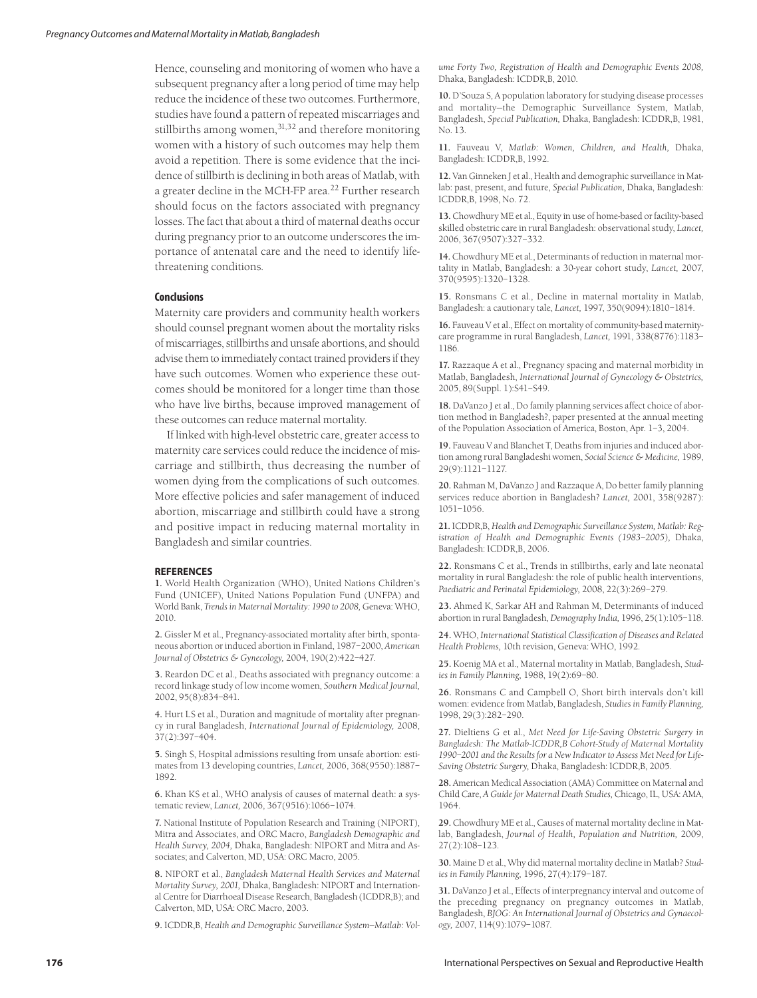Hence, counseling and monitoring of women who have a subsequent pregnancy after a long period of time may help reduce the incidence of these two outcomes. Furthermore, studies have found a pattern of repeated miscarriages and stillbirths among women,<sup>31,32</sup> and therefore monitoring women with a history of such outcomes may help them avoid a repetition. There is some evidence that the incidence of stillbirth is declining in both areas of Matlab, with a greater decline in the MCH-FP area.<sup>22</sup> Further research should focus on the factors associated with pregnancy losses. The fact that about a third of maternal deaths occur during pregnancy prior to an outcome underscores the importance of antenatal care and the need to identify lifethreatening conditions.

# **Conclusions**

Maternity care providers and community health workers should counsel pregnant women about the mortality risks of miscarriages, stillbirths and unsafe abortions, and should advise them to immediately contact trained providers if they have such outcomes. Women who experience these outcomes should be monitored for a longer time than those who have live births, because improved management of these outcomes can reduce maternal mortality.

If linked with high-level obstetric care, greater access to maternity care services could reduce the incidence of miscarriage and stillbirth, thus decreasing the number of women dying from the complications of such outcomes. More effective policies and safer management of induced abortion, miscarriage and stillbirth could have a strong and positive impact in reducing maternal mortality in Bangladesh and similar countries.

## **REFERENCES**

**1.** World Health Organization (WHO), United Nations Children's Fund (UNICEF), United Nations Population Fund (UNFPA) and World Bank, *Trends in Maternal Mortality: 1990 to 2008,* Geneva: WHO, 2010.

**2.** Gissler M et al., Pregnancy-associated mortality after birth, spontaneous abortion or induced abortion in Finland, 1987–2000, *American Journal of Obstetrics & Gynecology,* 2004, 190(2):422–427.

**3.** Reardon DC et al., Deaths associated with pregnancy outcome: a record linkage study of low income women, *Southern Medical Journal,* 2002, 95(8):834–841.

**4.** Hurt LS et al., Duration and magnitude of mortality after pregnancy in rural Bangladesh, *International Journal of Epidemiology,* 2008, 37(2):397–404.

**5.** Singh S, Hospital admissions resulting from unsafe abortion: estimates from 13 developing countries, *Lancet,* 2006, 368(9550):1887– 1892.

**6.** Khan KS et al., WHO analysis of causes of maternal death: a systematic review, *Lancet,* 2006, 367(9516):1066–1074.

**7.** National Institute of Population Research and Training (NIPORT), Mitra and Associates, and ORC Macro, *Bangladesh Demographic and Health Survey, 2004,* Dhaka, Bangladesh: NIPORT and Mitra and Associates; and Calverton, MD, USA: ORC Macro, 2005.

**8.** NIPORT et al., *Bangladesh Maternal Health Services and Maternal Mortality Survey, 2001,* Dhaka, Bangladesh: NIPORT and International Centre for Diarrhoeal Disease Research, Bangladesh (ICDDR,B); and Calverton, MD, USA: ORC Macro, 2003.

**9.** ICDDR,B, *Health and Demographic Surveillance System—Matlab: Vol-*

*ume Forty Two, Registration of Health and Demographic Events 2008,* Dhaka, Bangladesh: ICDDR,B, 2010.

**10.** D'Souza S, A population laboratory for studying disease processes and mortality—the Demographic Surveillance System, Matlab, Bangladesh, *Special Publication,* Dhaka, Bangladesh: ICDDR,B, 1981, No. 13.

**11.** Fauveau V, *Matlab: Women, Children, and Health,* Dhaka, Bangladesh: ICDDR,B, 1992.

**12.** Van Ginneken J et al., Health and demographic surveillance in Matlab: past, present, and future, *Special Publication,* Dhaka, Bangladesh: ICDDR,B, 1998, No. 72.

**13.** Chowdhury ME et al., Equity in use of home-based or facility-based skilled obstetric care in rural Bangladesh: observational study, *Lancet,* 2006, 367(9507):327–332.

**14.** Chowdhury ME et al., Determinants of reduction in maternal mortality in Matlab, Bangladesh: a 30-year cohort study, *Lancet,* 2007, 370(9595):1320–1328.

**15.** Ronsmans C et al., Decline in maternal mortality in Matlab, Bangladesh: a cautionary tale, *Lancet,* 1997, 350(9094):1810–1814.

**16.** Fauveau V et al., Effect on mortality of community-based maternitycare programme in rural Bangladesh, *Lancet,* 1991, 338(8776):1183– 1186.

**17.** Razzaque A et al., Pregnancy spacing and maternal morbidity in Matlab, Bangladesh, *International Journal of Gynecology & Obstetrics,* 2005, 89(Suppl. 1):S41–S49.

**18.** DaVanzo J et al., Do family planning services affect choice of abortion method in Bangladesh?, paper presented at the annual meeting of the Population Association of America, Boston, Apr. 1–3, 2004.

**19.** Fauveau V and Blanchet T, Deaths from injuries and induced abortion among rural Bangladeshi women, *Social Science & Medicine,* 1989, 29(9):1121–1127.

**20.** Rahman M, DaVanzo J and Razzaque A, Do better family planning services reduce abortion in Bangladesh? *Lancet,* 2001, 358(9287): 1051–1056.

**21.** ICDDR,B, *Health and Demographic Surveillance System, Matlab: Registration of Health and Demographic Events (1983–2005),* Dhaka, Bangladesh: ICDDR,B, 2006.

**22.** Ronsmans C et al., Trends in stillbirths, early and late neonatal mortality in rural Bangladesh: the role of public health interventions, *Paediatric and Perinatal Epidemiology,* 2008, 22(3):269–279.

**23.** Ahmed K, Sarkar AH and Rahman M, Determinants of induced abortion in rural Bangladesh, *Demography India,* 1996, 25(1):105–118.

**24.** WHO, *International Statistical Classification of Diseases and Related Health Problems,* 10th revision, Geneva: WHO, 1992.

**25.** Koenig MA et al., Maternal mortality in Matlab, Bangladesh, *Studies in Family Planning,* 1988, 19(2):69–80.

**26.** Ronsmans C and Campbell O, Short birth intervals don't kill women: evidence from Matlab, Bangladesh, *Studies in Family Planning,* 1998, 29(3):282–290.

**27.** Dieltiens G et al., *Met Need for Life-Saving Obstetric Surgery in Bangladesh: The Matlab-ICDDR,B Cohort-Study of Maternal Mortality 1990–2001 and the Results for a New Indicator to Assess Met Need for Life-Saving Obstetric Surgery,* Dhaka, Bangladesh: ICDDR,B, 2005.

**28.** American Medical Association (AMA) Committee on Maternal and Child Care, *A Guide for Maternal Death Studies,* Chicago, IL, USA: AMA, 1964.

**29.** Chowdhury ME et al., Causes of maternal mortality decline in Matlab, Bangladesh, *Journal of Health, Population and Nutrition,* 2009, 27(2):108–123.

**30.** Maine D et al., Why did maternal mortality decline in Matlab? *Studies in Family Planning,* 1996, 27(4):179–187.

**31.** DaVanzo J et al., Effects of interpregnancy interval and outcome of the preceding pregnancy on pregnancy outcomes in Matlab, Bangladesh, *BJOG: An International Journal of Obstetrics and Gynaecology,* 2007, 114(9):1079–1087.